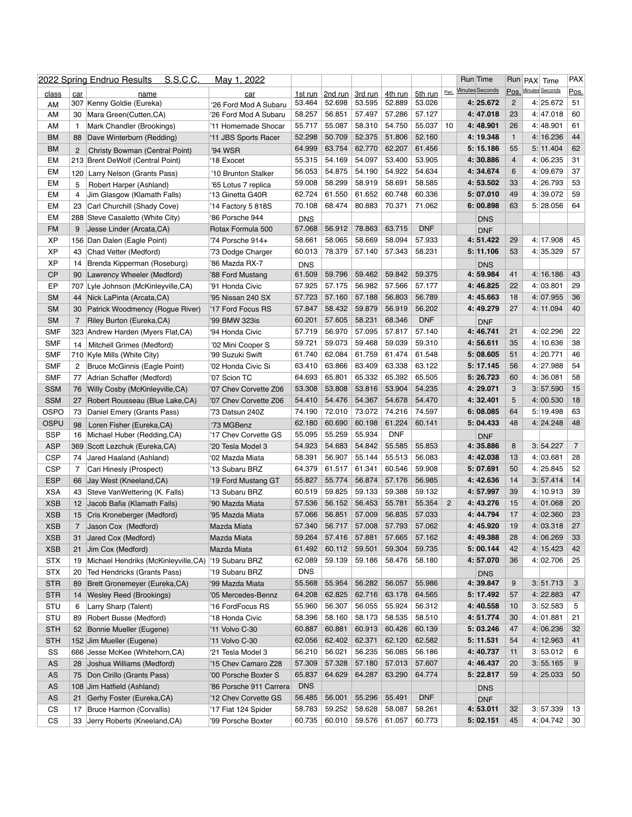|              |                 | <u>S.S.C.C.</u><br>2022 Spring Endruo Results           | <u>May 1, 2022</u>                 |                      |         |         |                |            |                | Run Time                |                 | Run PAX Time         | <b>PAX</b>     |
|--------------|-----------------|---------------------------------------------------------|------------------------------------|----------------------|---------|---------|----------------|------------|----------------|-------------------------|-----------------|----------------------|----------------|
| <u>class</u> | car             | name                                                    | car                                | 1st run              | 2nd run | 3rd run | <u>4th run</u> | 5th run    | Pen.           | <b>Minutes Seconds</b>  |                 | Pos. Minutes Seconds | Pos.           |
| AM           | 307             | Kenny Goldie (Eureka)                                   | '26 Ford Mod A Subaru              | 53.464               | 52.698  | 53.595  | 52.889         | 53.026     |                | 4: 25.672               | $\overline{2}$  | 4:25.672             | 51             |
| AM           | 30              | Mara Green(Cutten,CA)                                   | '26 Ford Mod A Subaru              | 58.257               | 56.851  | 57.497  | 57.286         | 57.127     |                | 4:47.018                | 23              | 4:147.018            | 60             |
| AM           |                 | Mark Chandler (Brookings)                               | '11 Homemade Shocar                | 55.717               | 55.087  | 58.310  | 54.750         | 55.037     | 10             | 4:48.901                | 26              | 4:148.901            | 61             |
| <b>BM</b>    | 88              | Dave Winterburn (Redding)                               | '11 JBS Sports Racer               | 52.298               | 50.709  | 52.375  | 51.806         | 52.160     |                | 4: 19.348               |                 | 4:16.236             | 44             |
| <b>BM</b>    |                 | <b>Christy Bowman (Central Point)</b>                   | '94 WSR                            | 64.999               | 63.754  | 62.770  | 62.207         | 61.456     |                | 5:15.186                | 55              | 5:11.404             | 62             |
| EM           | 213             | <b>Brent DeWolf (Central Point)</b>                     | '18 Exocet                         | 55.315               | 54.169  | 54.097  | 53.400         | 53.905     |                | 4: 30.886               | 4               | 4:06.235             | 31             |
| EM           |                 | 120 Larry Nelson (Grants Pass)                          | '10 Brunton Stalker                | 56.053               | 54.875  | 54.190  | 54.922         | 54.634     |                | 4: 34.674               | 6               | 4:09.679             | 37             |
| EM           | 5               | Robert Harper (Ashland)                                 | '65 Lotus 7 replica                | 59.008               | 58.299  | 58.919  | 58.691         | 58.585     |                | 4: 53.502               | 33              | 4:26.793             | 53             |
| EM           | 4               | Jim Glasgow (Klamath Falls)                             | '13 Ginetta G40R                   | 62.724               | 61.550  | 61.652  | 60.748         | 60.336     |                | 5:07.010                | 49              | 4:39.072             | 59             |
| EM           | 23              | Carl Churchill (Shady Cove)                             | 14 Factory 5 818S                  | 70.108               | 68.474  | 80.883  | 70.371         | 71.062     |                | 6:00.898                | 63              | 5:28.056             | 64             |
| EM           | 288             | Steve Casaletto (White City)                            | '86 Porsche 944                    |                      |         |         |                |            |                |                         |                 |                      |                |
| <b>FM</b>    |                 | Jesse Linder (Arcata, CA)                               | Rotax Formula 500                  | <b>DNS</b><br>57.068 | 56.912  | 78.863  | 63.715         | <b>DNF</b> |                | <b>DNS</b>              |                 |                      |                |
|              |                 |                                                         |                                    | 58.661               | 58.065  | 58.669  | 58.094         | 57.933     |                | <b>DNF</b><br>4: 51.422 | 29              | 4:17.908             | 45             |
| <b>XP</b>    |                 | 156 Dan Dalen (Eagle Point)                             | '74 Porsche 914+                   |                      |         |         |                |            |                |                         | 53              |                      | 57             |
| <b>XP</b>    | 43              | Chad Vetter (Medford)                                   | '73 Dodge Charger                  | 60.013               | 78.379  | 57.140  | 57.343         | 58.231     |                | 5:11.106                |                 | 4:35.329             |                |
| <b>XP</b>    | 14              | Brenda Kipperman (Roseburg)                             | '86 Mazda RX-7                     | <b>DNS</b>           |         |         |                |            |                | <b>DNS</b>              |                 |                      |                |
| CP           | 90              | Lawrency Wheeler (Medford)                              | '88 Ford Mustang                   | 61.509               | 59.796  | 59.462  | 59.842         | 59.375     |                | 4: 59.984               | 41              | 4:16.186             | 43             |
| EP           | 707             | Lyle Johnson (McKinleyville,CA)                         | '91 Honda Civic                    | 57.925               | 57.175  | 56.982  | 57.566         | 57.177     |                | 4: 46.825               | 22              | 4:03.801             | 29             |
| <b>SM</b>    | 44              | Nick LaPinta (Arcata, CA)                               | '95 Nissan 240 SX                  | 57.723               | 57.160  | 57.188  | 56.803         | 56.789     |                | 4: 45.663               | 18              | 4:07.955             | 36             |
| <b>SM</b>    | 30              | Patrick Woodmency (Rogue River)                         | '17 Ford Focus RS                  | 57.847               | 58.432  | 59.879  | 56.919         | 56.202     |                | 4: 49.279               | 27              | 4:11.094             | 40             |
| <b>SM</b>    |                 | <b>Riley Burton (Eureka, CA)</b>                        | '99 BMW 323is                      | 60.201               | 57.605  | 58.231  | 68.346         | <b>DNF</b> |                | <b>DNF</b>              |                 |                      |                |
| <b>SMF</b>   |                 | 323 Andrew Harden (Myers Flat, CA)                      | '94 Honda Civic                    | 57.719               | 56.970  | 57.095  | 57.817         | 57.140     |                | 4:146.741               | 21              | 4:02.296             | 22             |
| <b>SMF</b>   | 14              | Mitchell Grimes (Medford)                               | '02 Mini Cooper S                  | 59.721               | 59.073  | 59.468  | 59.039         | 59.310     |                | 4: 56.611               | 35              | 4:10.636             | 38             |
| <b>SMF</b>   | 710             | Kyle Mills (White City)                                 | '99 Suzuki Swift                   | 61.740               | 62.084  | 61.759  | 61.474         | 61.548     |                | 5:08.605                | 51              | 4:20.771             | 46             |
| <b>SMF</b>   | 2               | <b>Bruce McGinnis (Eagle Point)</b>                     | '02 Honda Civic Si                 | 63.410               | 63.866  | 63.409  | 63.338         | 63.122     |                | 5:17.145                | 56              | 4:27.988             | 54             |
| <b>SMF</b>   | 77              | Adrian Schaffer (Medford)                               | '07 Scion TC                       | 64.693               | 65.801  | 65.332  | 65.392         | 65.505     |                | 5: 26.723               | 60              | 4:36.081             | 58             |
| <b>SSM</b>   | 76              | Willy Cosby (McKinleyville, CA)                         | '07 Chev Corvette Z06              | 53.308               | 53.808  | 53.816  | 53.904         | 54.235     |                | 4: 29.071               | 3               | 3:57.590             | 15             |
| <b>SSM</b>   | 27              | Robert Rousseau (Blue Lake, CA)                         | '07 Chev Corvette Z06              | 54.410               | 54.476  | 54.367  | 54.678         | 54.470     |                | 4: 32.401               | 5               | 4:00.530             | 18             |
| <b>OSPO</b>  | 73              | Daniel Emery (Grants Pass)                              | '73 Datsun 240Z                    | 74.190               | 72.010  | 73.072  | 74.216         | 74.597     |                | 6:08.085                | 64              | 5:19.498             | 63             |
| <b>OSPU</b>  |                 |                                                         |                                    | 62.180               | 60.690  | 60.198  | 61.224         | 60.141     |                | 5:104.433               | 48              | 4:24.248             | 48             |
| <b>SSP</b>   | 98<br>16        | Loren Fisher (Eureka,CA)<br>Michael Huber (Redding, CA) | '73 MGBenz<br>'17 Chev Corvette GS | 55.095               | 55.259  | 55.934  | <b>DNF</b>     |            |                |                         |                 |                      |                |
| <b>ASP</b>   | 369             |                                                         | '20 Tesla Model 3                  | 54.923               | 54.683  | 54.842  | 55.585         | 55.853     |                | <b>DNF</b><br>4: 35.886 | 8               | 3: 54.227            | $\overline{7}$ |
|              |                 | Scott Lezchuk (Eureka, CA)                              |                                    | 58.391               | 56.907  | 55.144  | 55.513         | 56.083     |                | 4: 42.038               | 13              | 4:03.681             | 28             |
| <b>CSP</b>   | 74              | Jared Haaland (Ashland)                                 | '02 Mazda Miata                    |                      |         |         |                |            |                |                         |                 |                      |                |
| <b>CSP</b>   |                 | Cari Hinesly (Prospect)                                 | '13 Subaru BRZ                     | 64.379               | 61.517  | 61.341  | 60.546         | 59.908     |                | 5:07.691                | 50              | 4:25.845             | 52             |
| <b>ESP</b>   | 66              | Jay West (Kneeland, CA)                                 | '19 Ford Mustang GT                | 55.827               | 55.774  | 56.874  | 57.176         | 56.985     |                | 4:42.636                | 14              | 3: 57.414            | 14             |
| <b>XSA</b>   | 43              | Steve VanWettering (K. Falls)                           | '13 Subaru BRZ                     | 60.519               | 59.825  | 59.133  | 59.388         | 59.132     |                | 4: 57.997               | 39              | 4:10.913             | 39             |
| <b>XSB</b>   | 12 <sup>2</sup> | Jacob Bafia (Klamath Falls)                             | '90 Mazda Miata                    | 57.536               | 56.152  | 56.453  | 55.781         | 55.354     | $\overline{2}$ | 4: 43.276               | 15              | 4:01.068             | 20             |
| <b>XSB</b>   | 15 <sub>1</sub> | Cris Kroneberger (Medford)                              | '95 Mazda Miata                    | 57.066               | 56.851  | 57.009  | 56.835         | 57.033     |                | 4: 44.794               | 17              | 4:02.360             | 23             |
| <b>XSB</b>   |                 | Jason Cox (Medford)                                     | Mazda Miata                        | 57.340               | 56.717  | 57.008  | 57.793         | 57.062     |                | 4: 45.920               | 19              | 4:03.318             | 27             |
| <b>XSB</b>   | 31              | Jared Cox (Medford)                                     | Mazda Miata                        | 59.264               | 57.416  | 57.881  | 57.665         | 57.162     |                | 4: 49.388               | 28              | 4:06.269             | 33             |
| <b>XSB</b>   | 21              | Jim Cox (Medford)                                       | Mazda Miata                        | 61.492               | 60.112  | 59.501  | 59.304         | 59.735     |                | 5: 00.144               | 42              | 4:15.423             | 42             |
| <b>STX</b>   | 19              | Michael Hendriks (McKinleyville,CA)                     | '19 Subaru BRZ                     | 62.089               | 59.139  | 59.186  | 58.476         | 58.180     |                | 4: 57.070               | 36              | 4:02.706             | 25             |
| <b>STX</b>   | 20              | Ted Hendricks (Grants Pass)                             | '19 Subaru BRZ                     | <b>DNS</b>           |         |         |                |            |                | <b>DNS</b>              |                 |                      |                |
| <b>STR</b>   | 89              | Brett Gronemeyer (Eureka, CA)                           | '99 Mazda Miata                    | 55.568               | 55.954  | 56.282  | 56.057         | 55.986     |                | 4:39.847                | 9               | 3: 51.713            | 3              |
| <b>STR</b>   |                 | 14 Wesley Reed (Brookings)                              | '05 Mercedes-Bennz                 | 64.208               | 62.825  | 62.716  | 63.178         | 64.565     |                | 5: 17.492               | 57              | 4:22.883             | 47             |
| <b>STU</b>   | 6               | Larry Sharp (Talent)                                    | '16 FordFocus RS                   | 55.960               | 56.307  | 56.055  | 55.924         | 56.312     |                | 4:40.558                | 10 <sup>1</sup> | 3:52.583             | 5              |
| <b>STU</b>   | 89              | Robert Busse (Medford)                                  | '18 Honda Civic                    | 58.396               | 58.160  | 58.173  | 58.535         | 58.510     |                | 4: 51.774               | 30              | 4:01.881             | 21             |
| <b>STH</b>   | 52 <sub>2</sub> | Bonnie Mueller (Eugene)                                 | '11 Volvo C-30                     | 60.887               | 60.881  | 60.913  | 60.426         | 60.139     |                | 5:03.246                | 47              | 4:06.236             | 32             |
| <b>STH</b>   | 152             | Jim Mueller (Eugene)                                    | '11 Volvo C-30                     | 62.056               | 62.402  | 62.371  | 62.120         | 62.582     |                | 5:11.531                | 54              | 4:12.963             | 41             |
| <b>SS</b>    | 666             | Jesse McKee (Whitehorn, CA)                             | '21 Tesla Model 3                  | 56.210               | 56.021  | 56.235  | 56.085         | 56.186     |                | 4: 40.737               | 11              | 3:53.012             | 6              |
| <b>AS</b>    | 28              | Joshua Williams (Medford)                               | '15 Chev Camaro Z28                | 57.309               | 57.328  | 57.180  | 57.013         | 57.607     |                | 4: 46.437               | <b>20</b>       | 3:55.165             | 9              |
|              |                 |                                                         |                                    | 65.837               | 64.629  | 64.287  | 63.290         | 64.774     |                | 5: 22.817               | 59              | 4:25.033             | 50             |
| <b>AS</b>    | 75              | Don Cirillo (Grants Pass)                               | '00 Porsche Boxter S               | <b>DNS</b>           |         |         |                |            |                |                         |                 |                      |                |
| <b>AS</b>    | 108             | Jim Hatfield (Ashland)                                  | '86 Porsche 911 Carrera            |                      |         |         |                |            |                | <b>DNS</b>              |                 |                      |                |
| <b>AS</b>    | 21              | Gerhy Foster (Eureka, CA)                               | '12 Chev Corvette GS               | 56.485               | 56.001  | 55.296  | 55.491         | <b>DNF</b> |                | <b>DNF</b>              |                 |                      |                |
| <b>CS</b>    | 17              | <b>Bruce Harmon (Corvallis)</b>                         | '17 Fiat 124 Spider                | 58.783               | 59.252  | 58.628  | 58.087         | 58.261     |                | 4: 53.011               | 32              | 3:57.339             | 13             |
| <b>CS</b>    | 33              | Jerry Roberts (Kneeland, CA)                            | '99 Porsche Boxter                 | 60.735               | 60.010  | 59.576  | 61.057         | 60.773     |                | 5:02.151                | 45              | 4: 04.742            | 30             |